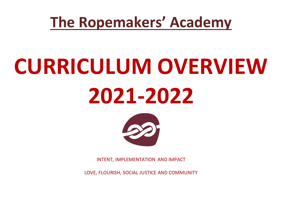### **The Ropemakers' Academy**

## **CURRICULUM OVERVIEW 2021-2022**



INTENT, IMPLEMENTATION AND IMPACT

LOVE, FLOURISH, SOCIAL JUSTICE AND COMMUNITY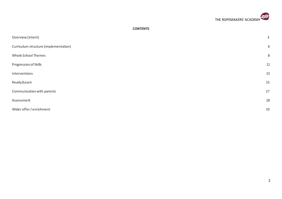

#### **CONTENTS**

| Overview (intent)                     | $\mathsf{3}$ |
|---------------------------------------|--------------|
| Curriculum structure (implementation) | 6            |
| Whole School Themes                   | 8            |
| Progression of Skills                 | 11           |
| Interventions                         | 13           |
| Ready2Learn                           | 15           |
| Communication with parents            | 17           |
| Assessment                            | 18           |
| Wider offer / enrichment              | 19           |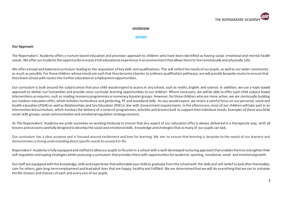

#### **OVERVIEW**

#### **INTENT**

#### **Our Approach**

The Ropemakers' Academy offers a nurture based education and provision approach to children who have been identified as having social, emotional and mental health needs. We offer our students the opportunity to enjoy a full educational experience in an environment that allows them to fee l emotionally and physically safe.

We offer a broad and balanced curriculum leading to the acquisition of key skills and qualifications. This will reflect the needs of our pupils, as well as our wider community as much as possible. For those children whose needs are such that they become a barrier to ordinary qualification pathways, we will provide bespoke routes to ensure that they leave school with routes into further education or employment opportunities.

Our curriculum is built around the subject areas that your child would expect to access in any school, such as maths, English and science. In addition, we use a topic-based approach to deliver our humanities and provide cross-curricular learning opportunities to our children. Where necessary, we will be able to offer each child subject based interventions as requires, such as reading recovery programmes or numeracy booster groups. However, for those children who are more active, we are continually building our outdoor education offer, which includes horticulture and gardening, PE and woodland skills. As you would expect, we retain a careful focus on our personal, social and health education (PSHE) as well as Relationships and Sex Education (RSE) in line with Government requirements. In the afternoons, most of our children will take part in an intervention led curriculum, which involvesthe delivery of a series of programmes, activities and lessons built to support their individual needs. Examples of these would be social skills groups, social communication and emotional regulation strategy sessions.

At The Ropemakers' Academy we pride ourselves on working tirelessly to ensure that any aspect of our education offer is always delivered in a therapeutic way, with all lessons and sessions carefully designed to develop the social and emotional skills, knowledge and strategies that so many of our pupils can lack.

Our curriculum has a clear purpose and is focused around excitement and love for learning. We aim to ensure that learning is bespoke to the needs of our learners and demonstrates a strong understanding about specific needs to succeed in life.

Ropemakers' Academy is fully equipped and staffed to allow our pupils to flourish in a school with a well-developed nurturing approach that enables them to strenghten their self-regulation and coping strategies whilst accessing a curriculum that provides them with opportunities for academic, sporting, vocational, social and emotional growth.

Our staff are equipped with the knowledge, skills and experience that will enable your child to graduate from the school with the skills and self-belief to look after themselves, care for others, gain long-term employment and lead adult lives that are happy, healthy and fulfilled. We are determined that we will do everything that we can to enhance the life choices and chances of each and every one of our pupils.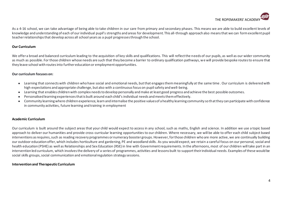

As a 4-16 school, we can take advantage of being able to take children in our care from primary and secondary phases. This means we are able to build excellent levels of knowledge and understanding of each of our individual pupil's strengths and areas for development. This all-through approach also means that we can form excellent pupil teacher relationships that develop across all school years as a pupil progresses through the school.

#### **Our Curriculum**

We offer a broad and balanced curriculum leading to the acquisition of key skills and qualifications. This will reflect the needs of our pupils, as well as our wider community as much as possible. For those children whose needs are such that they become a barrier to ordinary qualification pathways, we will provide bespoke routes to ensure that they leave school with routes into further education or employment opportunities.

#### **Our curriculum focuses on:**

- Learning that connects with children who have social and emotional needs, but that engages them meaningfully at the same time . Our curriculum is delivered with high expectations and appropriate challenge, but also with a continuous focus on pupil safety and well-being.
- Learning that enables children with complex needs to develop personally and make at least good progress and achieve the best possible outcomes.
- Personalised learning experiences that is built around each child's individual needs and meets them effectively.
- Community learning where children experience, learn and internalise the positive values of a healthy learning community so that they can participate with confidence in community activities, future learning and training in employment

#### **Academic Curriculum**

Our curriculum is built around the subject areas that your child would expect to access in any school, such as maths, English and science. In addition we use a topic based approach to deliver our humanities and provide cross-curricular learning opportunities to our children. Where necessary, we will be able to offer each child subject based interventions as requires, such as reading recovery programmes or numeracy booster groups. However, for those children who are more active, we are continually building our outdoor education offer, which includes horticulture and gardening, PE and woodland skills. As you would expect, we retain a careful focus on our personal, social and health education (PSHE) as well as Relationships and Sex Education (RSE) in line with Government requirements. In the afternoons, most of our children will take part in an intervention led curriculum, which involves the delivery of a series of programmes, activities and lessons built to support their individual needs. Examples of these would be social skills groups, social communication and emotional regulation strategy sessions.

#### **Intervention and Therapeutic Curriculum**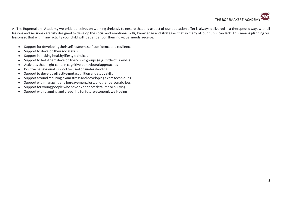

At The Ropemakers' Academy we pride ourselves on working tirelessly to ensure that any aspect of our education offer is always delivered in a therapeutic way, with all lessons and sessions carefully designed to develop the social and emotional skills, knowledge and strategies that so many of our pupils can lack. This means planning our lessons so that within any activity your child will, dependent on their individual needs, receive:

- Support for developing their self-esteem, self-confidence and resilience
- Support to develop their social skills
- Support in making healthy lifestyle choices
- Support to help them develop friendship groups (e.g. Circle of Friends)
- Activities that might contain cognitive behavioural approaches
- Positive behavioural support focused on understanding
- Support to develop effective metacognition and study skills
- Support around reducing exam stress and developing exam techniques
- Support with managing any bereavement, loss, or other personal crises
- Support for young people who have experienced trauma or bullying
- Support with planning and preparing for future economic well-being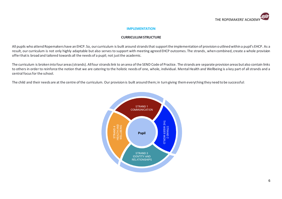

#### **IMPLEMENTATION**

#### **CURRICULUM STRUCTURE**

All pupils who attend Ropemakers have an EHCP. So, our curriculum is built around strands that support the implementation of provision outlined within a pupil's EHCP. As a result, our curriculum is not only highly adaptable but also serves to support with meeting agreed EHCP outcomes. The strands, when combined, create a whole provision offer that is broad and tailored towards all the needs of a pupil; not just the academic.

The curriculum is broken into four areas (strands). All four strands link to an area of the SEND Code of Practice. The strands are separate provision areas but also contain links to others in order to reinforce the notion that we are catering to the holistic needs of one, whole, individual. Mental Health and Wellbeing is a key part of all strands and a central focus for the school.

The child and their needs are at the centre of the curriculum. Our provision is built around them; in turn giving them everything they need to be successful:

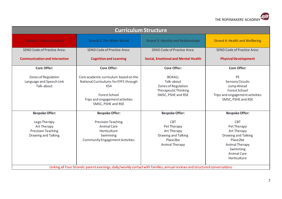

| <b>Curriculum Structure</b>                                                     |                                                                                                                                                                 |                                                                                                             |                                                                                                                                                 |  |  |  |  |  |
|---------------------------------------------------------------------------------|-----------------------------------------------------------------------------------------------------------------------------------------------------------------|-------------------------------------------------------------------------------------------------------------|-------------------------------------------------------------------------------------------------------------------------------------------------|--|--|--|--|--|
| <b>Strand 1: Communication</b>                                                  | <b>Strand 2: The Wider World</b>                                                                                                                                | <b>Strand 3: Identity and Relationships</b>                                                                 | <b>Strand 4: Health and Wellbeing</b>                                                                                                           |  |  |  |  |  |
| <b>SEND Code of Practice Area:</b>                                              | <b>SEND Code of Practice Area:</b>                                                                                                                              | <b>SEND Code of Practice Area:</b>                                                                          | <b>SEND Code of Practice Area:</b>                                                                                                              |  |  |  |  |  |
| <b>Communication and Interaction</b>                                            | <b>Cognition and Learning</b>                                                                                                                                   | <b>Social, Emotional and Mental Health</b>                                                                  | <b>Physical Development</b>                                                                                                                     |  |  |  |  |  |
| <b>Core Offer:</b>                                                              | <b>Core Offer:</b>                                                                                                                                              | <b>Core Offer:</b>                                                                                          | <b>Core Offer:</b>                                                                                                                              |  |  |  |  |  |
| Zones of Regulation<br>Language and Speech Link<br>Talk-about                   | Core academic curriculum based on the<br>National Curriculums for EYFS through<br>KS4<br>Forest School<br>Trips and engagement activities<br>SMSC, PSHE and RSE | <b>BOXALL</b><br>Talk-about<br>Zones of Regulation<br><b>Therapeutic Thinking</b><br>SMSC, PSHE and RSE     | PE<br><b>Sensory Circuits</b><br>Jump Ahead<br><b>Forest School</b><br>Trips and engagement activities<br>SMSC, PSHE and RSE                    |  |  |  |  |  |
| <b>Bespoke Offer:</b>                                                           | <b>Bespoke Offer:</b>                                                                                                                                           | <b>Bespoke Offer:</b>                                                                                       | <b>Bespoke Offer:</b>                                                                                                                           |  |  |  |  |  |
| Lego Therapy<br>Art Therapy<br><b>Precision Teaching</b><br>Drawing and Talking | <b>Precision Teaching</b><br><b>Animal Care</b><br>Horticulture<br>Swimming<br><b>Community Engagement Activities</b>                                           | <b>CBT</b><br>Pet Therapy<br>Art Therapy<br><b>Drawing and Talking</b><br>Place2be<br><b>Animal Therapy</b> | <b>CBT</b><br>Pet Therapy<br>Art Therapy<br>Drawing and Talking<br>Place2be<br>Animal Therapy<br>Swimming<br><b>Animal Care</b><br>Horticulture |  |  |  |  |  |
|                                                                                 | Linking all Four Strands: parent evenings, daily/weekly contact with families, annual reviews and structured conversations                                      |                                                                                                             |                                                                                                                                                 |  |  |  |  |  |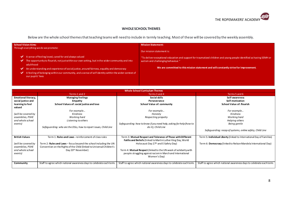

#### **WHOLE SCHOOL THEMES**

Below are the whole school themes that teaching teams will need to include in termly teaching. Most of these will be covered by the weekly assembly.

| <b>School Vision Aims:</b>                                                                                                                                                                                                                                                                                                                                                                                             | <b>Mission Statement:</b>                                                                                                                                                                                                                            |
|------------------------------------------------------------------------------------------------------------------------------------------------------------------------------------------------------------------------------------------------------------------------------------------------------------------------------------------------------------------------------------------------------------------------|------------------------------------------------------------------------------------------------------------------------------------------------------------------------------------------------------------------------------------------------------|
| Through everything we do we promote:                                                                                                                                                                                                                                                                                                                                                                                   | Our mission statement is:                                                                                                                                                                                                                            |
| A sense of feeling loved, cared for and always valued<br>The opportunity to flourish, not just within our own setting, but in the wider community and into<br>adulthood<br>$\Box$ An understanding and experience of social justice, around fairness, equality and democracy $^{\prime}$<br>A feeling of belonging within our community, and a sense of self identity within the wider context of<br>our pupils' lives | "To deliver exceptional education and support for traumatized children and young people identified as having SEMH or<br>autism and challenging behaviour."<br>We are committed to this mission statement and will constantly strive for improvement. |

|                            | <b>Whole School Curriculum Themes</b>                                 |                                                                      |                                                                      |  |  |  |  |
|----------------------------|-----------------------------------------------------------------------|----------------------------------------------------------------------|----------------------------------------------------------------------|--|--|--|--|
|                            | Terms 1 and 2                                                         | Terms 3 and 4                                                        | Terms 5 and 6                                                        |  |  |  |  |
| <b>Emotional literacy,</b> | <b>Managing feelings</b>                                              | Social skills                                                        | Self-awareness                                                       |  |  |  |  |
| social justice and         | Empathy                                                               | Perseverance                                                         | Self-motivation                                                      |  |  |  |  |
| learning to feel           | School Values of: social justice and love                             | <b>School Value of: community</b>                                    | <b>School Value of: flourish</b>                                     |  |  |  |  |
| valued                     |                                                                       |                                                                      |                                                                      |  |  |  |  |
|                            | For example                                                           | For example                                                          | For example                                                          |  |  |  |  |
| (will be covered by        | Kindness                                                              | Honesty                                                              | Kindness                                                             |  |  |  |  |
| assemblies, PSHE           | Working hard                                                          | Respecting property                                                  | Working hard                                                         |  |  |  |  |
| and whole school           | Listening to others                                                   |                                                                      | Helping others                                                       |  |  |  |  |
| events)                    |                                                                       | Safequarding: how to know if you need help, asking for help (how to  | Being gentle                                                         |  |  |  |  |
|                            | Safequarding: who are the DSLs, how to report issues, Child Line      | do it), Child Line                                                   |                                                                      |  |  |  |  |
|                            |                                                                       |                                                                      | Safeguarding: recap of systems, online safety, Child Line            |  |  |  |  |
| <b>British Values</b>      | Term 1: Rules and Laws - reinforcement of class rules                 | Term 3: Mutual Respect and Tolerance of Those with Different         | Term 5: Individual Liberty (linked to International Day of Families) |  |  |  |  |
|                            |                                                                       | Faiths and Beliefs (linked to Martin Luther King Day, World          |                                                                      |  |  |  |  |
| (will be covered by        | Term 2: Rules and Laws - focus beyond the school including the UN     | Holocaust Day 27th and E-Safety Day)                                 | Term 6: Democracy (linked to Nelson Mandela International Day)       |  |  |  |  |
| assemblies, PSHE           | Convention on the Rights of the Child (linked to Universal Children's |                                                                      |                                                                      |  |  |  |  |
| and whole school           | Day 20 <sup>th</sup> November)                                        | Term 4: Mutual Respect (linked to the UN week of solidarity with     |                                                                      |  |  |  |  |
| events)                    |                                                                       | people struggling against racism in March and International          |                                                                      |  |  |  |  |
|                            |                                                                       | Women's Day)                                                         |                                                                      |  |  |  |  |
|                            |                                                                       |                                                                      |                                                                      |  |  |  |  |
| Community                  | Staff to agree which national awareness days to celebrate each term.  | Staff to agree which national awareness days to celebrate each term. | Staff to agree which national awareness days to celebrate each term. |  |  |  |  |
|                            |                                                                       |                                                                      |                                                                      |  |  |  |  |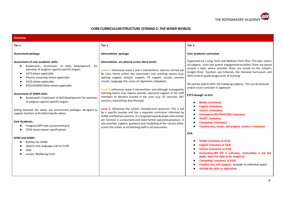

#### **CORE CURRICULUM STRUCTURE (STRAND 2: THE WIDER WORLD)**

| <b>Overview</b>                                                                                                                                                                                                                                                                                                                                                                                                                                                                                                                                                                                                                                                                                                                                                                     |                                                                                                                                                                                                                                                                                                                                                                                                                                                                                                                                                                                                                                                                                                                                                                                                                                                                                                                                                                                                         |                                                                                                                                                                                                                                                                                                                                                                                                                                                                                                                                                                                                                                                                                                                                                                                                                                                                                                                                                                                                                                                                                                                   |
|-------------------------------------------------------------------------------------------------------------------------------------------------------------------------------------------------------------------------------------------------------------------------------------------------------------------------------------------------------------------------------------------------------------------------------------------------------------------------------------------------------------------------------------------------------------------------------------------------------------------------------------------------------------------------------------------------------------------------------------------------------------------------------------|---------------------------------------------------------------------------------------------------------------------------------------------------------------------------------------------------------------------------------------------------------------------------------------------------------------------------------------------------------------------------------------------------------------------------------------------------------------------------------------------------------------------------------------------------------------------------------------------------------------------------------------------------------------------------------------------------------------------------------------------------------------------------------------------------------------------------------------------------------------------------------------------------------------------------------------------------------------------------------------------------------|-------------------------------------------------------------------------------------------------------------------------------------------------------------------------------------------------------------------------------------------------------------------------------------------------------------------------------------------------------------------------------------------------------------------------------------------------------------------------------------------------------------------------------------------------------------------------------------------------------------------------------------------------------------------------------------------------------------------------------------------------------------------------------------------------------------------------------------------------------------------------------------------------------------------------------------------------------------------------------------------------------------------------------------------------------------------------------------------------------------------|
| Tier 1                                                                                                                                                                                                                                                                                                                                                                                                                                                                                                                                                                                                                                                                                                                                                                              | Tier 2                                                                                                                                                                                                                                                                                                                                                                                                                                                                                                                                                                                                                                                                                                                                                                                                                                                                                                                                                                                                  | Tier 3                                                                                                                                                                                                                                                                                                                                                                                                                                                                                                                                                                                                                                                                                                                                                                                                                                                                                                                                                                                                                                                                                                            |
| <b>Assessment package</b>                                                                                                                                                                                                                                                                                                                                                                                                                                                                                                                                                                                                                                                                                                                                                           | Interventions package                                                                                                                                                                                                                                                                                                                                                                                                                                                                                                                                                                                                                                                                                                                                                                                                                                                                                                                                                                                   | Core academic curriculum                                                                                                                                                                                                                                                                                                                                                                                                                                                                                                                                                                                                                                                                                                                                                                                                                                                                                                                                                                                                                                                                                          |
| Assessment of core academic skills:<br>Beckmead's 'Continuum of Skills Development' for<br>overview of progress against specific targets.<br>SATS where applicable<br>$\bullet$<br>Phonics screening where applicable<br>GSCE where applicable<br>BTEC/ASDAN/Other where applicable<br><b>Assessment of SEMH skills:</b><br>Beckmead's 'Continuum of Skill Development' for overview<br>$\bullet$<br>of progress against specific targets.<br>Sitting beneath the above are assessment packages designed to<br>support teachers with informing the above:<br><b>Core Academic:</b><br>Hexgons/APP style assessment grid<br>GCSE exams board specifications<br><b>SEND and SEMH:</b><br><b>BOXALL for SEMH</b><br>Speech and Language Link for SLCN<br>SDQ<br>Leuven Wellbeing Scale | Interventions are phased across three levels:<br>Level 1: references wave 1 and 2 interventions and are carried out<br>by class teams within the classrooms and teaching spaces (e.g.<br>spelling support, phonics support, TA support, visuals, sensory<br>circuits, language link, zones of regulation, talkabout).<br>Level 2: references wave 3 interventions and although managed by<br>teaching teams may require outside, specialist support or for staff<br>members to become trained in the area (e.g: OT sessions, CBT<br>sessions, counselling, play therapy).<br>Level 3: references the school's Ready2Learn provision. This is led<br>by a specific teacher and has a separate curriculum informed by<br>SEMH and Nurture practice. It is targeted towards pupils who cannot<br>yet function in a classroom and need further specialist provision. It<br>also provides support, guidance and modelling of the correct ethos<br>across the school to all teaching staff in all classrooms. | Organised via a Long Term and Medium-Term Plan. This plan covers<br>all subjects, visits and parent engagement activities. Plans are based<br>around a topic where possible. Plans are stored on the school's<br>Google Drive. Teachers use Schemes, the National Curriculum and<br>Skills Grids to guide progression of learning.<br>We will be able to offer the following subjects. This can be discreet<br>and/or cross-curricular in approach:<br><b>EYFS through to KS3</b><br><b>Maths (statutory)</b><br><b>English (statutory)</b><br><b>Science (statutory)</b><br>Humanities/RE/PSHE/RSE (statutory<br><b>Art/DT (statutory</b><br><b>Computing (statutory)</b><br>Creative arts, music, and projects (music is statutory)<br><b>KS4:</b><br><b>Maths (statutory at KS4)</b><br><b>English (statutory at KS4)</b><br><b>Science (statutory at KS4)</b><br>Humanities/RE (RE is statutory. Humanities is not but<br>pupils have the right to be taught it)<br><b>Computing (statutory at KS4)</b><br>Creative arts and projects: bespoke to individual pupils<br><b>ASDAN life skills or equivalent</b> |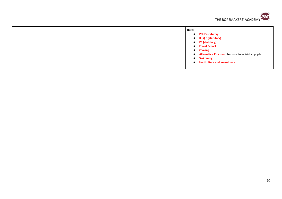

|  | Both:<br><b>PSHE (statutory)</b><br>$\bullet$<br>R(S) E (statutory)<br>$\bullet$<br>PE (statutory)<br>$\bullet$<br><b>Forest School</b><br>$\bullet$<br><b>Cooking</b><br>$\bullet$<br>Alternative Provision: bespoke to individual pupils<br>$\bullet$<br><b>Swimming</b><br>$\bullet$ |
|--|-----------------------------------------------------------------------------------------------------------------------------------------------------------------------------------------------------------------------------------------------------------------------------------------|
|  | <b>Horticulture and animal care</b>                                                                                                                                                                                                                                                     |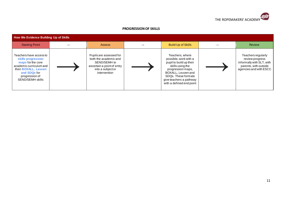

#### **PROGRESSION OF SKILLS**

| <b>How We Evidence Building Up of Skills</b>                                                                                                                                      |  |                                                                                                                                     |  |                                                                                                                                                                                                                  |               |                                                                                                                       |  |
|-----------------------------------------------------------------------------------------------------------------------------------------------------------------------------------|--|-------------------------------------------------------------------------------------------------------------------------------------|--|------------------------------------------------------------------------------------------------------------------------------------------------------------------------------------------------------------------|---------------|-----------------------------------------------------------------------------------------------------------------------|--|
| <b>Starting Point</b>                                                                                                                                                             |  | <b>Assess</b>                                                                                                                       |  | <b>Build Up of Skills</b>                                                                                                                                                                                        | $\rightarrow$ | <b>Review</b>                                                                                                         |  |
| Teachers have access to<br>skills progression<br>maps for the core<br>academic curriculum and<br>then BOXALL, Leuven<br>and SDQs for<br>progression of<br><b>SEND/SEMH skills</b> |  | Pupils are assessed for<br>both the academic and<br>SEND/SEMH to<br>ascertain a point of entry<br>into a subject or<br>intervention |  | Teachers, where<br>possible, work with a<br>pupil to build up their<br>skills using the<br>progression maps,<br>BOXALL, Leuven and<br>SDQs. These formats<br>give teachers a pathway<br>with a defined end point |               | Teachers regularly<br>review progress<br>informally with SLT, with<br>parents, with outside<br>agencies and with ESCC |  |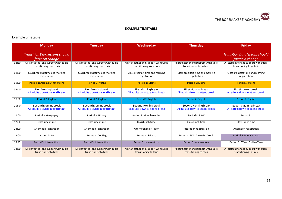

#### **EXAMPLE TIMETABLE**

#### Example timetable:

|       | <b>Monday</b>                                                        | <b>Tuesday</b>                                                       | Wednesday                                                            | <b>Thursday</b>                                                      | <b>Friday</b>                                                        |
|-------|----------------------------------------------------------------------|----------------------------------------------------------------------|----------------------------------------------------------------------|----------------------------------------------------------------------|----------------------------------------------------------------------|
|       | Transition Day: lessons should<br>factor in change                   |                                                                      |                                                                      |                                                                      | <b>Transition Day: lessons should</b><br>factor in change            |
| 08:30 | All staff gather and support with pupils<br>transitioning from taxis | All staff gather and support with pupils<br>transitioning from taxis | All staff gather and support with pupils<br>transitioning from taxis | All staff gather and support with pupils<br>transitioning from taxis | All staff gather and support with pupils<br>transitioning from taxis |
| 08:30 | Class breakfast time and morning<br>registration                     | Class breakfast time and morning<br>registration                     | Class breakfast time and morning<br>registration                     | Class breakfast time and morning<br>registration                     | Class breakfast time and morning<br>registration                     |
| 09:00 | Period 1: Assembly then Maths                                        | <b>Period 1: Maths</b>                                               | <b>Period 1: Maths</b>                                               | <b>Period 1: Maths</b>                                               | Period 1: Maths                                                      |
| 09:40 | First Morning break<br>All adults down to attend break               | First Morning break<br>All adults down to attend break               | First Morning break<br>All adults down to attend break               | First Morning break<br>All adults down to attend break               | First Morning break<br>All adults down to attend break               |
| 10:00 | Period 2: English                                                    | Period 2: English                                                    | Period 2: English                                                    | Period 2: English                                                    | Period 2: English                                                    |
| 10:40 | Second Moming break<br>All adults down to attend break               | Second Moming break<br>All adults down to attend break               | Second Moming break<br>All adults down to attend break               | Second Moming break<br>All adults down to attend break               | Second Moming break<br>All adults down to attend break               |
| 11:00 | Period 3: Geography                                                  | Period 3: History                                                    | Period 3: PE with teacher                                            | Period 3: PSHE                                                       | Period 3:                                                            |
| 12:00 | Class lunch time                                                     | Class lunch time                                                     | Class lunch time                                                     | Class lunch time                                                     | Class lunch time                                                     |
| 13:00 | Afternoon registration                                               | Afternoon registration                                               | Afternoon registration                                               | Afternoon registration                                               | Afternoon registration                                               |
| 13:00 | Period 4: Art                                                        | Period 4: Cooking                                                    | Period 4: Science                                                    | Period 4: PE in Gym with Coach                                       | Period 4: Interventions                                              |
| 13:45 | Period 5: interventions                                              | Period 5: interventions                                              | Period 5: interventions                                              | Period 5: interventions                                              | Period 5: DT and Golden Time                                         |
| 14:30 | All staff gather and support with pupils<br>transitioning to taxis   | All staff gather and support with pupils<br>transitioning to taxis   | All staff gather and support with pupils<br>transitioning to taxis   | All staff gather and support with pupils<br>transitioning to taxis   | All staff gather and support with pupils<br>transitioning to taxis   |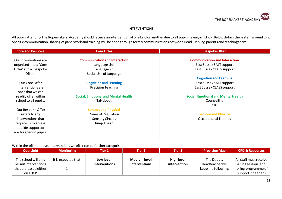

#### **INTERVENTIONS**

All pupils attending The Ropemakers' Academy should receive an intervention of one kind or another due to all pupils having an EHCP. Below details the system around this. Specific communication, sharing of paperwork and training will be done through termly communications between Head, Deputy, parents and teaching team.

| <b>Core and Bespoke</b>  | <b>Core Offer</b>                          | <b>Bespoke Offer</b>                       |
|--------------------------|--------------------------------------------|--------------------------------------------|
|                          |                                            |                                            |
| Our interventions are    | <b>Communication and Interaction</b>       | <b>Communication and Interaction</b>       |
| organised into a 'Core   | Language Link                              | East Sussex SALT support                   |
| Offer' and a 'Bespoke    | Language Kit                               | East Sussex CLASS support                  |
| Offer'.                  | Social Use of Language                     |                                            |
|                          |                                            | <b>Cognition and Learning</b>              |
| Our Core Offer           | <b>Cognition and Learning</b>              | East Sussex SALT support                   |
| interventions are        | <b>Precision Teaching</b>                  | East Sussex CLASS support                  |
| ones that we can         |                                            |                                            |
| readily offer within     | <b>Social, Emotional and Mental Health</b> | <b>Social, Emotional and Mental Health</b> |
| school to all pupils.    | Talkabout                                  | Counselling                                |
|                          |                                            | <b>CBT</b>                                 |
| Our Bespoke Offer        | <b>Sensory and Physical</b>                |                                            |
| refers to any            | Zones of Regulation                        | <b>Sensory and Physical</b>                |
| interventions that       | <b>Sensory Circuits</b>                    | Occupational Therapy                       |
| require us to access     | Jump Ahead                                 |                                            |
| outside support or       |                                            |                                            |
| are for specific pupils. |                                            |                                            |
|                          |                                            |                                            |

#### Within the offers above, interventions we offer can be further categorised:

| <b>Oversight</b>                                                                 | <b>Monitoring</b>    | Tier 1                     | Tier 2                               | Tier 3                            | <b>Provision Map</b>                                         | <b>CPD &amp; Resources</b>                                                                 |
|----------------------------------------------------------------------------------|----------------------|----------------------------|--------------------------------------|-----------------------------------|--------------------------------------------------------------|--------------------------------------------------------------------------------------------|
| The school will only<br>permit interventions<br>that are based either<br>on EHCP | It is expected that: | Low level<br>interventions | <b>Medium level</b><br>interventions | <b>High level</b><br>intervention | The Deputy<br><b>Headteacher will</b><br>keep the following: | All staff must receive<br>a CPD session (and<br>rolling programme of<br>support if needed) |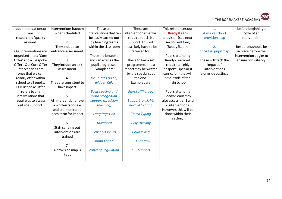

| recommendations or     | Interventions happen   | These are                  | These are               | This references our     | $\mathbf{1}$ .        | before beginning a     |
|------------------------|------------------------|----------------------------|-------------------------|-------------------------|-----------------------|------------------------|
| are                    | when scheduled         | interventions that can     | interventions that will | <b>Ready2Learn</b>      | A whole school        | cycle of an            |
| researched/quality     |                        | be easily carried out      | require specialist      | provision (see next     | provision map         | intervention.          |
| assured.               | 2.                     | by teaching teams          | support. This will      | section entitled,       |                       |                        |
|                        | They include an        | within the classroom       | most likely have to be  | 'Ready2Learn'           | 2.                    | Resources should be    |
| Our interventions are  | entrance assessment    |                            | referred for.           |                         | Individual pupil maps | in place before the    |
| organised into a 'Core |                        | These are bespoke          |                         | <b>Pupils attending</b> |                       | intervention begins to |
| Offer' and a 'Bespoke  | 3.                     | and can alter as the       | These follow a set      | Ready2Learn will        | These will track the  | ensure consistency.    |
| Offer'. Our Core Offer | They include an exit   | pupil progresses.          | programme, and a        | require a highly        | impact of             |                        |
| interventions are      | assessment             | Examples are:              | report may be written   | bespoke, specialist     | interventions         |                        |
| ones that we can       |                        |                            | by the specialist at    | curriculum that will    | alongside costings    |                        |
| readily offer within   | 4.                     | <b>Visualaids (PECS,</b>   | the end.                | sit outside of the      |                       |                        |
| school to all pupils.  | They are consistent to | widget, CIP)               | Examples are:           | main school.            |                       |                        |
| Our Bespoke Offer      | have impact            |                            |                         |                         |                       |                        |
| refers to any          |                        | <b>Basic spelling and</b>  | <b>Physical Therapy</b> | <b>Pupils attending</b> |                       |                        |
| interventions that     | 5.                     | word recognition           |                         | Ready2Learn may         |                       |                        |
| require us to access   | All interventions have | support (precision         | Support for sight,      | also access tier 1 and  |                       |                        |
| outside support.       | a written rationale    | teaching)                  | hard of hearing         | 2 interventions.        |                       |                        |
|                        | and are monitored      |                            |                         | However, this will be   |                       |                        |
|                        | each term for impact   | Language Link              | <b>Touch Typing</b>     | done within their       |                       |                        |
|                        |                        |                            |                         | setting.                |                       |                        |
|                        | 6.                     | <b>Talkabout</b>           | <b>Play Therapy</b>     |                         |                       |                        |
|                        | Staff carrying out     |                            |                         |                         |                       |                        |
|                        | interventions are      | <b>Sensory Circuits</b>    | Counselling             |                         |                       |                        |
|                        | trained                |                            |                         |                         |                       |                        |
|                        |                        | <b>Jump Ahead</b>          | <b>CBT Therapy</b>      |                         |                       |                        |
|                        | 7.                     |                            |                         |                         |                       |                        |
|                        | A provision map is     | <b>Zones of Regulation</b> | <b>EPS Support</b>      |                         |                       |                        |
|                        | kept                   |                            |                         |                         |                       |                        |
|                        |                        |                            |                         |                         |                       |                        |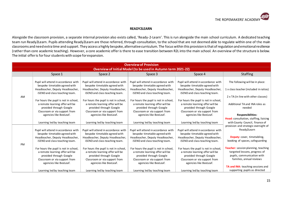

#### **READY2LEARN**

Alongside the classroom provision, a separate internal provision also exists called, 'Ready-2-Learn'. This is run alongside the main school curriculum. A dedicated teaching team run Ready2Learn. Pupils attending Ready2Learn are those referred, through consultation, to the school that are not deemed able to regulate within one of the main classrooms and need extra time and support. They access a highly bespoke, alternative curriculum. The focus within this provision is that of regulation and emotional resilience (rather than core academic teaching). However, a core academic offer is there to ease transition between R2L into the main school. An overview of the structure is below. The initial offer is for four students with scope for expansion.

|    | <b>Overview of Provision</b>                                                                                                                                   |                                                                                                                                                                |                                                                                                                                                                |                                                                                                                                                                |                                                                                                                                |  |  |  |
|----|----------------------------------------------------------------------------------------------------------------------------------------------------------------|----------------------------------------------------------------------------------------------------------------------------------------------------------------|----------------------------------------------------------------------------------------------------------------------------------------------------------------|----------------------------------------------------------------------------------------------------------------------------------------------------------------|--------------------------------------------------------------------------------------------------------------------------------|--|--|--|
|    | Overview of Initial Model (to be used in Autumn term 2021-22)                                                                                                  |                                                                                                                                                                |                                                                                                                                                                |                                                                                                                                                                |                                                                                                                                |  |  |  |
|    | Space 1                                                                                                                                                        | Space 2                                                                                                                                                        | Space 3                                                                                                                                                        | Space 4                                                                                                                                                        | <b>Staffing</b>                                                                                                                |  |  |  |
| AM | Pupil will attend in accordance with<br>bespoke timetable agreed with<br>Headteacher, Deputy Headteacher,<br>iSEND and class teaching team.                    | Pupil will attend in accordance with<br>bespoke timetable agreed with<br>Headteacher, Deputy Headteacher,<br>iSEND and class teaching team.                    | Pupil will attend in accordance with<br>bespoke timetable agreed with<br>Headteacher, Deputy Headteacher,<br>iSEND and class teaching team.                    | Pupil will attend in accordance with<br>bespoke timetable agreed with<br>Headteacher, Deputy Headteacher,<br>iSEND and class teaching team.                    | The following will be in place:<br>1 x class teacher (included in ratios)<br>2 x TA (in line with other classes)               |  |  |  |
|    | For hours the pupil is not in school,<br>a remote learning offer will be<br>provided through Google<br>Classroom or via support from<br>agencies like BeeLeaf. | For hours the pupil is not in school,<br>a remote learning offer will be<br>provided through Google<br>Classroom or via support from<br>agencies like BeeLeaf. | For hours the pupil is not in school,<br>a remote learning offer will be<br>provided through Google<br>Classroom or via support from<br>agencies like BeeLeaf. | For hours the pupil is not in school,<br>a remote learning offer will be<br>provided through Google<br>Classroom or via support from<br>agencies like BeeLeaf. | Additional TA and INA roles as<br>needed<br><b>Responsibilities:</b>                                                           |  |  |  |
|    | Learning led by teaching team                                                                                                                                  | Learning led by teaching team                                                                                                                                  | Learning led by teaching team                                                                                                                                  | Learning led by teaching team                                                                                                                                  | Head: consultation, staffing, liaising<br>with County Council, finance of                                                      |  |  |  |
|    | Pupil will attend in accordance with<br>bespoke timetable agreed with                                                                                          | Pupil will attend in accordance with<br>bespoke timetable agreed with                                                                                          | Pupil will attend in accordance with<br>bespoke timetable agreed with                                                                                          | Pupil will attend in accordance with<br>bespoke timetable agreed with                                                                                          | provision and strategic oversight of<br>Ready2Learn                                                                            |  |  |  |
| PM | Headteacher, Deputy Headteacher,<br>iSEND and class teaching team.                                                                                             | Headteacher, Deputy Headteacher,<br>iSEND and class teaching team.                                                                                             | Headteacher, Deputy Headteacher,<br>iSEND and class teaching team.                                                                                             | Headteacher, Deputy Headteacher,<br>iSEND and class teaching team.                                                                                             | Deputy: cover, timetabling,<br>booking of spaces, safeguarding                                                                 |  |  |  |
|    | For hours the pupil is not in school,<br>a remote learning offer will be<br>provided through Google<br>Classroom or via support from<br>agencies like BeeLeaf. | For hours the pupil is not in school,<br>a remote learning offer will be<br>provided through Google<br>Classroom or via support from<br>agencies like BeeLeaf. | For hours the pupil is not in school,<br>a remote learning offer will be<br>provided through Google<br>Classroom or via support from<br>agencies like BeeLeaf. | For hours the pupil is not in school,<br>a remote learning offer will be<br>provided through Google<br>Classroom or via support from<br>agencies like BeeLeaf. | Teacher: session planning, teaching<br>targeted lessons, progress of<br>pupils, communication with<br>families, annual reviews |  |  |  |
|    | Learning led by teaching team                                                                                                                                  | Learning led by teaching team                                                                                                                                  | Learning led by teaching team                                                                                                                                  | Learning led by teaching team                                                                                                                                  | TA and INA: teaching sessions and<br>supporting pupils as directed                                                             |  |  |  |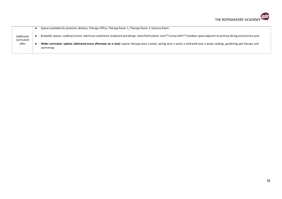

| Additional<br>Curriculum<br>offer | Spaces available for provision delivery: Therapy Office, Therapy Room 1, Therapy Room 2, Sensory Room.                                                                                    |
|-----------------------------------|-------------------------------------------------------------------------------------------------------------------------------------------------------------------------------------------|
|                                   | Bookable spaces: cookery/science lab/music and drama studio/art and design room/horticulture area**/camp skills**/outdoor space adjacent to primary dining area/service yard              |
|                                   | Wider curriculum options (delivered every afternoon on a rota): equine therapy once a week, cycling once a week, a wild walk once a week, cooking, gardening, pet therapy and<br>swimming |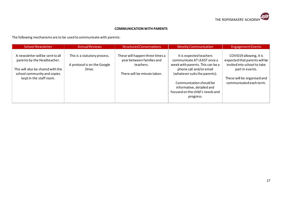

#### **COMMUNICATION WITH PARENTS**

The following mechanisms are to be used to communicate with parents:

| <b>School Newsletter</b>                                                                                                                                       | <b>Annual Reviews</b>                                                 | <b>Structured Conversations</b>                                                                          | <b>Weekly Communication</b>                                                                                                                                                                                                                                     | <b>Engagement Events</b>                                                                                                                                             |
|----------------------------------------------------------------------------------------------------------------------------------------------------------------|-----------------------------------------------------------------------|----------------------------------------------------------------------------------------------------------|-----------------------------------------------------------------------------------------------------------------------------------------------------------------------------------------------------------------------------------------------------------------|----------------------------------------------------------------------------------------------------------------------------------------------------------------------|
| A newsletter will be sent to all<br>parents by the Headteacher.<br>This will also be shared with the<br>school community and copies<br>kept in the staff room. | This is a statutory process.<br>A protocol is on the Google<br>Drive. | These will happen three times a<br>year between families and<br>teachers.<br>There will be minute taken. | It is expected teachers<br>communicate AT LEAST once a<br>week with parents. This can be a<br>phone call and/or email<br>(whatever suits the parents).<br>Communication should be<br>informative, detailed and<br>focused on the child's needs and<br>progress. | COVID19 allowing, it is<br>expected that parents will be<br>invited into school to take<br>part in events.<br>These will be organised and<br>communicated each term. |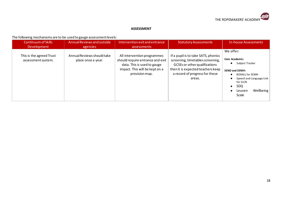

#### **ASSESSMENT**

#### The following mechanisms are to be used to gauge assessment levels:

| <b>Continuum of Skills</b>                     | Annual Reviews and outside                       | Intervention exit and entrance                                                                                                                     | <b>Statutory Assessments</b>                                                                                                                                                              | In-house Assessments                                                                                                                                                                                                                        |
|------------------------------------------------|--------------------------------------------------|----------------------------------------------------------------------------------------------------------------------------------------------------|-------------------------------------------------------------------------------------------------------------------------------------------------------------------------------------------|---------------------------------------------------------------------------------------------------------------------------------------------------------------------------------------------------------------------------------------------|
| Development                                    | agencies                                         | assessments                                                                                                                                        |                                                                                                                                                                                           |                                                                                                                                                                                                                                             |
| This is the agreed Trust<br>assessment system. | Annual Reviews should take<br>place once a year. | All intervention programmes<br>should require entrance and exit<br>data. This is used to gauge<br>impact. This will be kept on a<br>provision map. | If a pupil is to take SATS, phonics<br>screening, timetables screening,<br>GCSEs or other qualifications<br>then it is expected teachers keep<br>a record of progress for these<br>areas. | We offer:<br>Core Academic:<br>Subject Tracker<br>$\bullet$<br><b>SEND and SEMH:</b><br><b>BOXALL for SEMH</b><br>$\bullet$<br>Speech and Language Link<br>for SLCN<br><b>SDQ</b><br>$\bullet$<br>Wellbeing<br>Leuven<br>$\bullet$<br>Scale |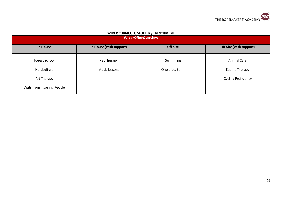

| <b>WIDEN CONNICOLONI OFFER / ENNICHMENT</b><br><b>Wider Offer Overview</b> |                         |                 |                            |  |  |  |  |  |
|----------------------------------------------------------------------------|-------------------------|-----------------|----------------------------|--|--|--|--|--|
| In House                                                                   | In House (with support) | <b>Off Site</b> | Off Site (with support)    |  |  |  |  |  |
| Forest School                                                              | Pet Therapy             | Swimming        | <b>Animal Care</b>         |  |  |  |  |  |
| Horticulture                                                               | Music lessons           | One trip a term | Equine Therapy             |  |  |  |  |  |
| Art Therapy                                                                |                         |                 | <b>Cycling Proficiency</b> |  |  |  |  |  |
| Visits from Inspiring People                                               |                         |                 |                            |  |  |  |  |  |

#### **WIDER CURRICULUM OFFER / ENRICHMENT**